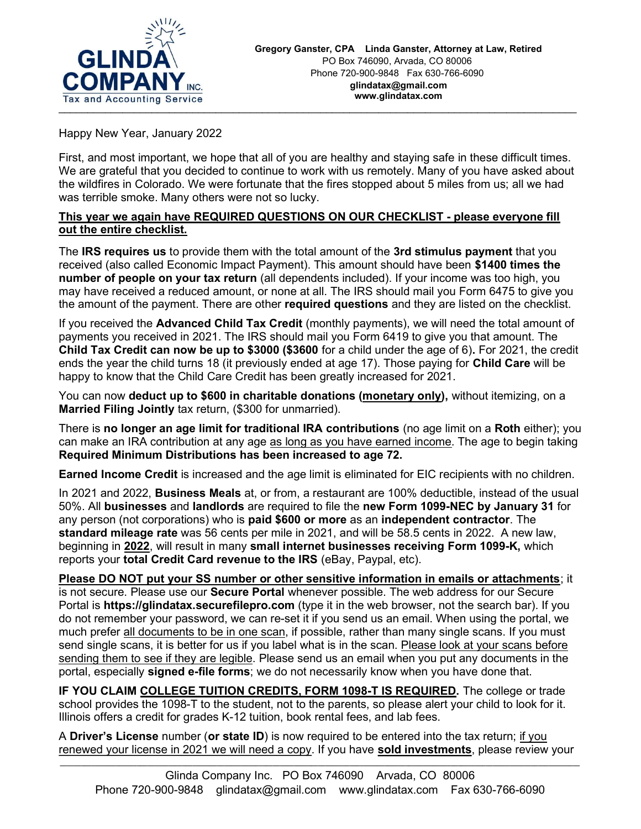

Happy New Year, January 2022

First, and most important, we hope that all of you are healthy and staying safe in these difficult times. We are grateful that you decided to continue to work with us remotely. Many of you have asked about the wildfires in Colorado. We were fortunate that the fires stopped about 5 miles from us; all we had was terrible smoke. Many others were not so lucky.

## This year we again have REQUIRED QUESTIONS ON OUR CHECKLIST - please everyone fill out the entire checklist.

The **IRS requires us** to provide them with the total amount of the **3rd stimulus payment** that you received (also called Economic Impact Payment). This amount should have been \$1400 times the number of people on your tax return (all dependents included). If your income was too high, you may have received a reduced amount, or none at all. The IRS should mail you Form 6475 to give you the amount of the payment. There are other required questions and they are listed on the checklist.

If you received the **Advanced Child Tax Credit** (monthly payments), we will need the total amount of payments you received in 2021. The IRS should mail you Form 6419 to give you that amount. The Child Tax Credit can now be up to \$3000 (\$3600 for a child under the age of 6). For 2021, the credit ends the year the child turns 18 (it previously ended at age 17). Those paying for Child Care will be happy to know that the Child Care Credit has been greatly increased for 2021.

You can now deduct up to \$600 in charitable donations (monetary only), without itemizing, on a Married Filing Jointly tax return, (\$300 for unmarried).

There is no longer an age limit for traditional IRA contributions (no age limit on a Roth either); you can make an IRA contribution at any age as long as you have earned income. The age to begin taking Required Minimum Distributions has been increased to age 72.

Earned Income Credit is increased and the age limit is eliminated for EIC recipients with no children.

In 2021 and 2022, **Business Meals** at, or from, a restaurant are 100% deductible, instead of the usual 50%. All businesses and landlords are required to file the new Form 1099-NEC by January 31 for any person (not corporations) who is paid \$600 or more as an independent contractor. The standard mileage rate was 56 cents per mile in 2021, and will be 58.5 cents in 2022. A new law, beginning in 2022, will result in many small internet businesses receiving Form 1099-K, which reports your total Credit Card revenue to the IRS (eBay, Paypal, etc).

Please DO NOT put your SS number or other sensitive information in emails or attachments; it is not secure. Please use our Secure Portal whenever possible. The web address for our Secure Portal is https://glindatax.securefilepro.com (type it in the web browser, not the search bar). If you do not remember your password, we can re-set it if you send us an email. When using the portal, we much prefer all documents to be in one scan, if possible, rather than many single scans. If you must send single scans, it is better for us if you label what is in the scan. Please look at your scans before sending them to see if they are legible. Please send us an email when you put any documents in the portal, especially signed e-file forms; we do not necessarily know when you have done that.

IF YOU CLAIM COLLEGE TUITION CREDITS, FORM 1098-T IS REQUIRED. The college or trade school provides the 1098-T to the student, not to the parents, so please alert your child to look for it. Illinois offers a credit for grades K-12 tuition, book rental fees, and lab fees.

A Driver's License number (or state ID) is now required to be entered into the tax return; if you renewed your license in 2021 we will need a copy. If you have sold investments, please review your